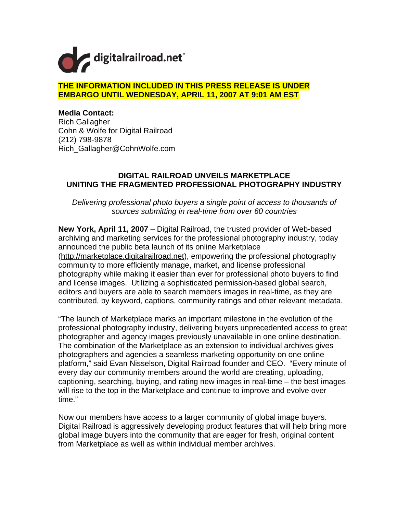

## **THE INFORMATION INCLUDED IN THIS PRESS RELEASE IS UNDER EMBARGO UNTIL WEDNESDAY, APRIL 11, 2007 AT 9:01 AM EST**

**Media Contact:**  Rich Gallagher Cohn & Wolfe for Digital Railroad (212) 798-9878 Rich\_Gallagher@CohnWolfe.com

## **DIGITAL RAILROAD UNVEILS MARKETPLACE UNITING THE FRAGMENTED PROFESSIONAL PHOTOGRAPHY INDUSTRY**

*Delivering professional photo buyers a single point of access to thousands of sources submitting in real-time from over 60 countries* 

**New York, April 11, 2007** – Digital Railroad, the trusted provider of Web-based archiving and marketing services for the professional photography industry, today announced the public beta launch of its online Marketplace (http://marketplace.digitalrailroad.net), empowering the professional photography community to more efficiently manage, market, and license professional photography while making it easier than ever for professional photo buyers to find and license images. Utilizing a sophisticated permission-based global search, editors and buyers are able to search members images in real-time, as they are contributed, by keyword, captions, community ratings and other relevant metadata.

"The launch of Marketplace marks an important milestone in the evolution of the professional photography industry, delivering buyers unprecedented access to great photographer and agency images previously unavailable in one online destination. The combination of the Marketplace as an extension to individual archives gives photographers and agencies a seamless marketing opportunity on one online platform," said Evan Nisselson, Digital Railroad founder and CEO. "Every minute of every day our community members around the world are creating, uploading, captioning, searching, buying, and rating new images in real-time – the best images will rise to the top in the Marketplace and continue to improve and evolve over time."

Now our members have access to a larger community of global image buyers. Digital Railroad is aggressively developing product features that will help bring more global image buyers into the community that are eager for fresh, original content from Marketplace as well as within individual member archives.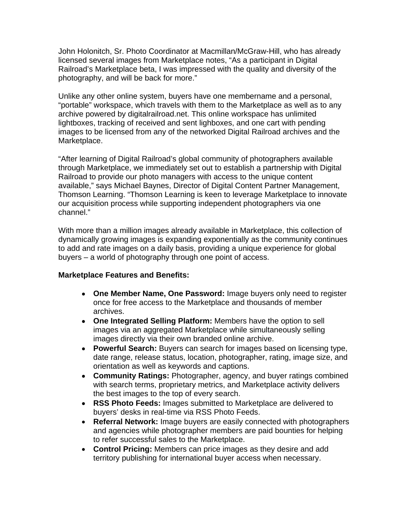John Holonitch, Sr. Photo Coordinator at Macmillan/McGraw-Hill, who has already licensed several images from Marketplace notes, "As a participant in Digital Railroad's Marketplace beta, I was impressed with the quality and diversity of the photography, and will be back for more."

Unlike any other online system, buyers have one membername and a personal, "portable" workspace, which travels with them to the Marketplace as well as to any archive powered by digitalrailroad.net. This online workspace has unlimited lightboxes, tracking of received and sent lighboxes, and one cart with pending images to be licensed from any of the networked Digital Railroad archives and the Marketplace.

"After learning of Digital Railroad's global community of photographers available through Marketplace, we immediately set out to establish a partnership with Digital Railroad to provide our photo managers with access to the unique content available," says Michael Baynes, Director of Digital Content Partner Management, Thomson Learning. "Thomson Learning is keen to leverage Marketplace to innovate our acquisition process while supporting independent photographers via one channel."

With more than a million images already available in Marketplace, this collection of dynamically growing images is expanding exponentially as the community continues to add and rate images on a daily basis, providing a unique experience for global buyers – a world of photography through one point of access.

## **Marketplace Features and Benefits:**

- • **One Member Name, One Password:** Image buyers only need to register once for free access to the Marketplace and thousands of member archives.
- • **One Integrated Selling Platform:** Members have the option to sell images via an aggregated Marketplace while simultaneously selling images directly via their own branded online archive.
- • **Powerful Search:** Buyers can search for images based on licensing type, date range, release status, location, photographer, rating, image size, and orientation as well as keywords and captions.
- • **Community Ratings:** Photographer, agency, and buyer ratings combined with search terms, proprietary metrics, and Marketplace activity delivers the best images to the top of every search.
- • **RSS Photo Feeds:** Images submitted to Marketplace are delivered to buyers' desks in real-time via RSS Photo Feeds.
- **Referral Network:** Image buyers are easily connected with photographers and agencies while photographer members are paid bounties for helping to refer successful sales to the Marketplace.
- **Control Pricing:** Members can price images as they desire and add territory publishing for international buyer access when necessary.